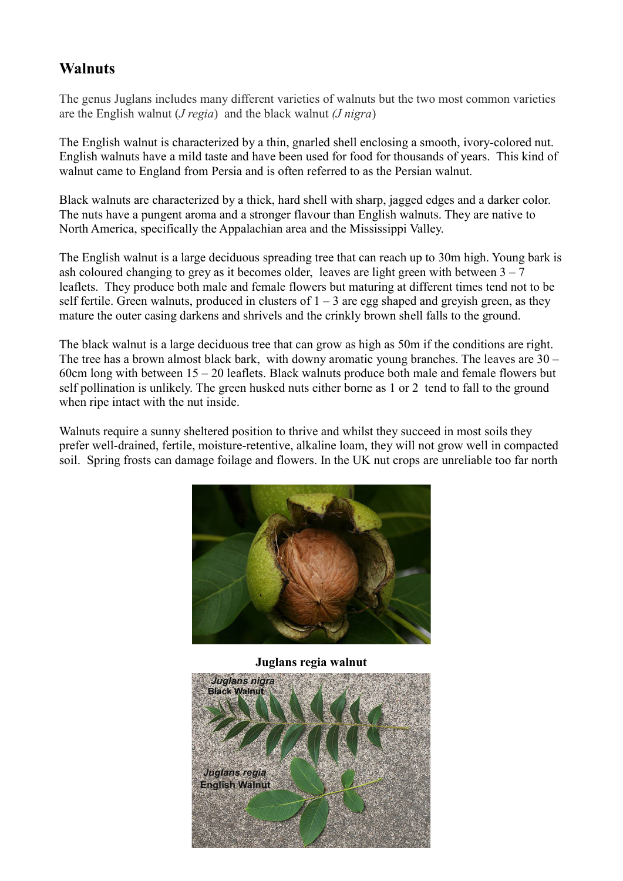# **Walnuts**

The genus Juglans includes many different varieties of walnuts but the two most common varieties are the English walnut (*J regia*) and the black walnut (*J nigra*)

The English walnut is characterized by a thin, gnarled shell enclosing a smooth, ivory-colored nut. English walnuts have a mild taste and have been used for food for thousands of years. This kind of walnut came to England from Persia and is often referred to as the Persian walnut.

Black walnuts are characterized by a thick, hard shell with sharp, jagged edges and a darker color. The nuts have a pungent aroma and a stronger flavour than English walnuts. They are native to North America, specifically the Appalachian area and the Mississippi Valley.

The English walnut is a large deciduous spreading tree that can reach up to 30m high. Young bark is ash coloured changing to grey as it becomes older, leaves are light green with between  $3 - 7$ leaflets. They produce both male and female flowers but maturing at different times tend not to be self fertile. Green walnuts, produced in clusters of  $1 - 3$  are egg shaped and greyish green, as they mature the outer casing darkens and shrivels and the crinkly brown shell falls to the ground.

The black walnut is a large deciduous tree that can grow as high as 50m if the conditions are right. The tree has a brown almost black bark, with downy aromatic young branches. The leaves are 30 – 60cm long with between  $15 - 20$  leaflets. Black walnuts produce both male and female flowers but self pollination is unlikely. The green husked nuts either borne as 1 or 2 tend to fall to the ground when ripe intact with the nut inside.

Walnuts require a sunny sheltered position to thrive and whilst they succeed in most soils they prefer well-drained, fertile, moisture-retentive, alkaline loam, they will not grow well in compacted soil. Spring frosts can damage foilage and flowers. In the UK nut crops are unreliable too far north



Juglans regia walnut

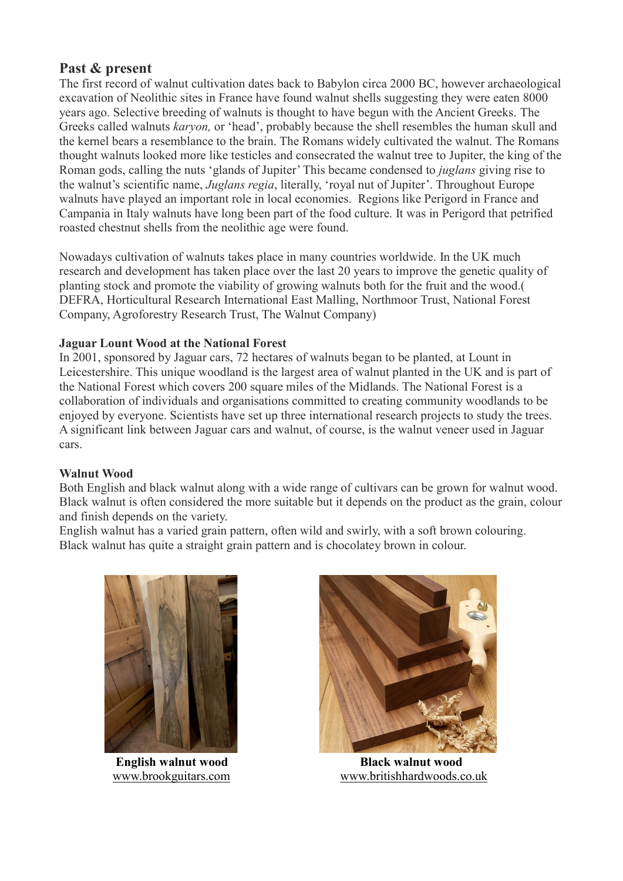# Past & present

The first record of walnut cultivation dates back to Babylon circa 2000 BC, however archaeological excavation of Neolithic sites in France have found walnut shells suggesting they were eaten 8000 years ago. Selective breeding of walnuts is thought to have begun with the Ancient Greeks. The Greeks called walnuts karyon, or 'head', probably because the shell resembles the human skull and the kernel bears a resemblance to the brain. The Romans widely cultivated the walnut. The Romans thought walnuts looked more like testicles and consecrated the walnut tree to Jupiter, the king of the Roman gods, calling the nuts 'glands of Jupiter' This became condensed to juglans giving rise to the walnut's scientific name, Juglans regia, literally, 'royal nut of Jupiter'. Throughout Europe walnuts have played an important role in local economies. Regions like Perigord in France and Campania in Italy walnuts have long been part of the food culture. It was in Perigord that petrified roasted chestnut shells from the neolithic age were found.

Nowadays cultivation of walnuts takes place in many countries worldwide. In the UK much research and development has taken place over the last 20 years to improve the genetic quality of planting stock and promote the viability of growing walnuts both for the fruit and the wood.( DEFRA, Horticultural Research International East Malling, Northmoor Trust, National Forest Company, Agroforestry Research Trust, The Walnut Company)

## Jaguar Lount Wood at the National Forest

In 2001, sponsored by Jaguar cars, 72 hectares of walnuts began to be planted, at Lount in Leicestershire. This unique woodland is the largest area of walnut planted in the UK and is part of the National Forest which covers 200 square miles of the Midlands. The National Forest is a collaboration of individuals and organisations committed to creating community woodlands to be enjoyed by everyone. Scientists have set up three international research projects to study the trees. A significant link between Jaguar cars and walnut, of course, is the walnut veneer used in Jaguar cars.

## Walnut Wood

Both English and black walnut along with a wide range of cultivars can be grown for walnut wood. Black walnut is often considered the more suitable but it depends on the product as the grain, colour and finish depends on the variety.

English walnut has a varied grain pattern, often wild and swirly, with a soft brown colouring. Black walnut has quite a straight grain pattern and is chocolatey brown in colour.





 English walnut wood Black walnut wood www.brookguitars.com www.britishhardwoods.co.uk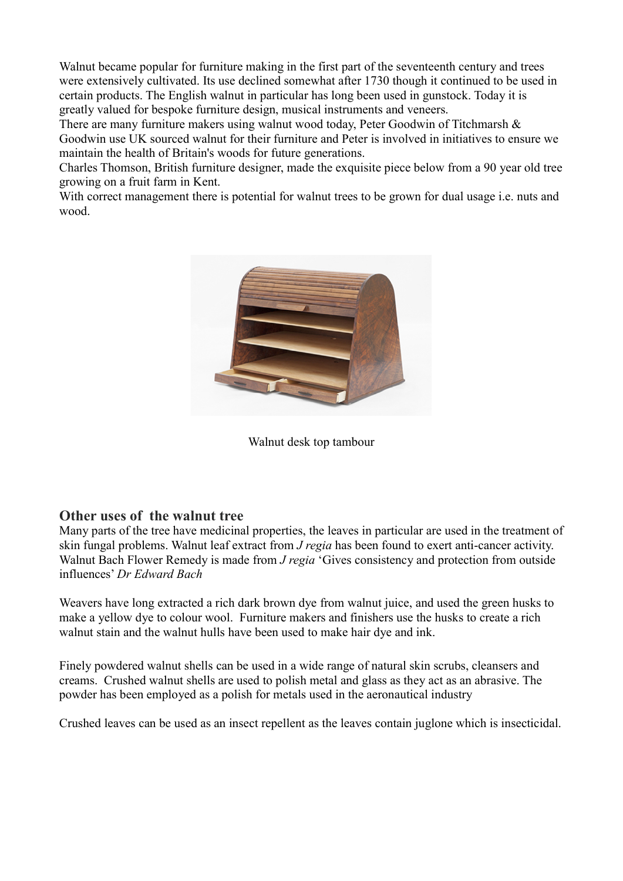Walnut became popular for furniture making in the first part of the seventeenth century and trees were extensively cultivated. Its use declined somewhat after 1730 though it continued to be used in certain products. The English walnut in particular has long been used in gunstock. Today it is greatly valued for bespoke furniture design, musical instruments and veneers.

There are many furniture makers using walnut wood today, Peter Goodwin of Titchmarsh & Goodwin use UK sourced walnut for their furniture and Peter is involved in initiatives to ensure we maintain the health of Britain's woods for future generations.

Charles Thomson, British furniture designer, made the exquisite piece below from a 90 year old tree growing on a fruit farm in Kent.

With correct management there is potential for walnut trees to be grown for dual usage i.e. nuts and wood.



Walnut desk top tambour

## Other uses of the walnut tree

Many parts of the tree have medicinal properties, the leaves in particular are used in the treatment of skin fungal problems. Walnut leaf extract from J regia has been found to exert anti-cancer activity. Walnut Bach Flower Remedy is made from *J regia* 'Gives consistency and protection from outside influences' Dr Edward Bach

Weavers have long extracted a rich dark brown dye from walnut juice, and used the green husks to make a yellow dye to colour wool. Furniture makers and finishers use the husks to create a rich walnut stain and the walnut hulls have been used to make hair dye and ink.

Finely powdered walnut shells can be used in a wide range of natural skin scrubs, cleansers and creams. Crushed walnut shells are used to polish metal and glass as they act as an abrasive. The powder has been employed as a polish for metals used in the aeronautical industry

Crushed leaves can be used as an insect repellent as the leaves contain juglone which is insecticidal.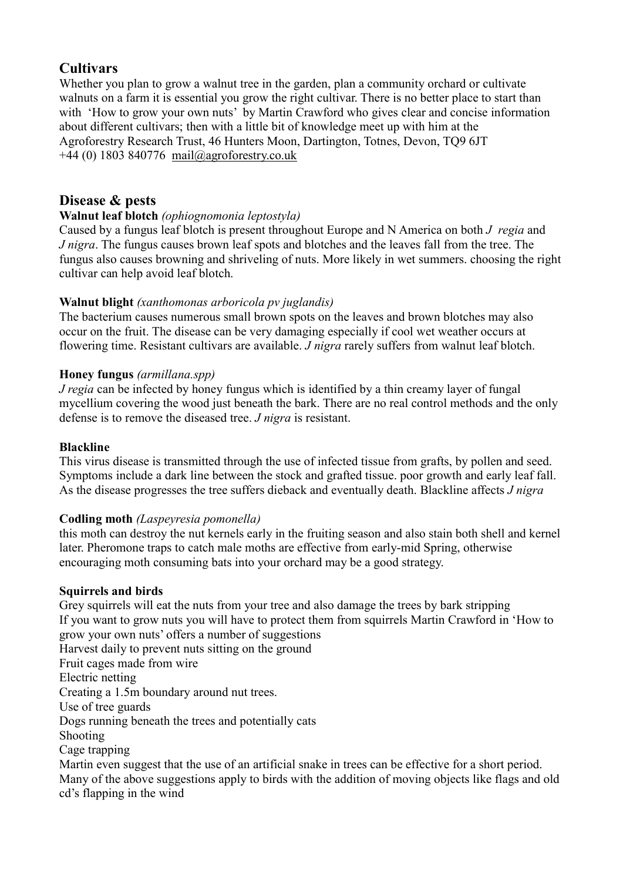# **Cultivars**

Whether you plan to grow a walnut tree in the garden, plan a community orchard or cultivate walnuts on a farm it is essential you grow the right cultivar. There is no better place to start than with 'How to grow your own nuts' by Martin Crawford who gives clear and concise information about different cultivars; then with a little bit of knowledge meet up with him at the Agroforestry Research Trust, 46 Hunters Moon, Dartington, Totnes, Devon, TQ9 6JT  $+44$  (0) 1803 840776 mail@agroforestry.co.uk

# Disease & pests

## Walnut leaf blotch (ophiognomonia leptostyla)

Caused by a fungus leaf blotch is present throughout Europe and N America on both J regia and J nigra. The fungus causes brown leaf spots and blotches and the leaves fall from the tree. The fungus also causes browning and shriveling of nuts. More likely in wet summers. choosing the right cultivar can help avoid leaf blotch.

## Walnut blight (xanthomonas arboricola pv juglandis)

The bacterium causes numerous small brown spots on the leaves and brown blotches may also occur on the fruit. The disease can be very damaging especially if cool wet weather occurs at flowering time. Resistant cultivars are available. *J nigra* rarely suffers from walnut leaf blotch.

## Honey fungus (armillana.spp)

J regia can be infected by honey fungus which is identified by a thin creamy layer of fungal mycellium covering the wood just beneath the bark. There are no real control methods and the only defense is to remove the diseased tree. *J* nigra is resistant.

### Blackline

This virus disease is transmitted through the use of infected tissue from grafts, by pollen and seed. Symptoms include a dark line between the stock and grafted tissue. poor growth and early leaf fall. As the disease progresses the tree suffers dieback and eventually death. Blackline affects *J nigra* 

## Codling moth (Laspeyresia pomonella)

this moth can destroy the nut kernels early in the fruiting season and also stain both shell and kernel later. Pheromone traps to catch male moths are effective from early-mid Spring, otherwise encouraging moth consuming bats into your orchard may be a good strategy.

## Squirrels and birds

Grey squirrels will eat the nuts from your tree and also damage the trees by bark stripping If you want to grow nuts you will have to protect them from squirrels Martin Crawford in 'How to grow your own nuts' offers a number of suggestions Harvest daily to prevent nuts sitting on the ground Fruit cages made from wire Electric netting Creating a 1.5m boundary around nut trees. Use of tree guards Dogs running beneath the trees and potentially cats Shooting Cage trapping Martin even suggest that the use of an artificial snake in trees can be effective for a short period. Many of the above suggestions apply to birds with the addition of moving objects like flags and old cd's flapping in the wind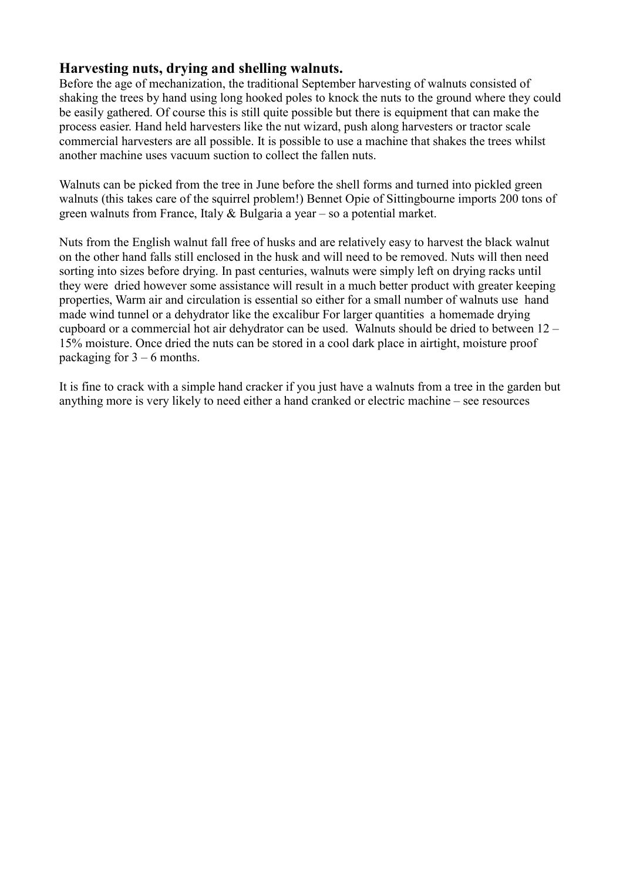## Harvesting nuts, drying and shelling walnuts.

Before the age of mechanization, the traditional September harvesting of walnuts consisted of shaking the trees by hand using long hooked poles to knock the nuts to the ground where they could be easily gathered. Of course this is still quite possible but there is equipment that can make the process easier. Hand held harvesters like the nut wizard, push along harvesters or tractor scale commercial harvesters are all possible. It is possible to use a machine that shakes the trees whilst another machine uses vacuum suction to collect the fallen nuts.

Walnuts can be picked from the tree in June before the shell forms and turned into pickled green walnuts (this takes care of the squirrel problem!) Bennet Opie of Sittingbourne imports 200 tons of green walnuts from France, Italy & Bulgaria a year – so a potential market.

Nuts from the English walnut fall free of husks and are relatively easy to harvest the black walnut on the other hand falls still enclosed in the husk and will need to be removed. Nuts will then need sorting into sizes before drying. In past centuries, walnuts were simply left on drying racks until they were dried however some assistance will result in a much better product with greater keeping properties, Warm air and circulation is essential so either for a small number of walnuts use hand made wind tunnel or a dehydrator like the excalibur For larger quantities a homemade drying cupboard or a commercial hot air dehydrator can be used. Walnuts should be dried to between 12 – 15% moisture. Once dried the nuts can be stored in a cool dark place in airtight, moisture proof packaging for  $3 - 6$  months.

It is fine to crack with a simple hand cracker if you just have a walnuts from a tree in the garden but anything more is very likely to need either a hand cranked or electric machine – see resources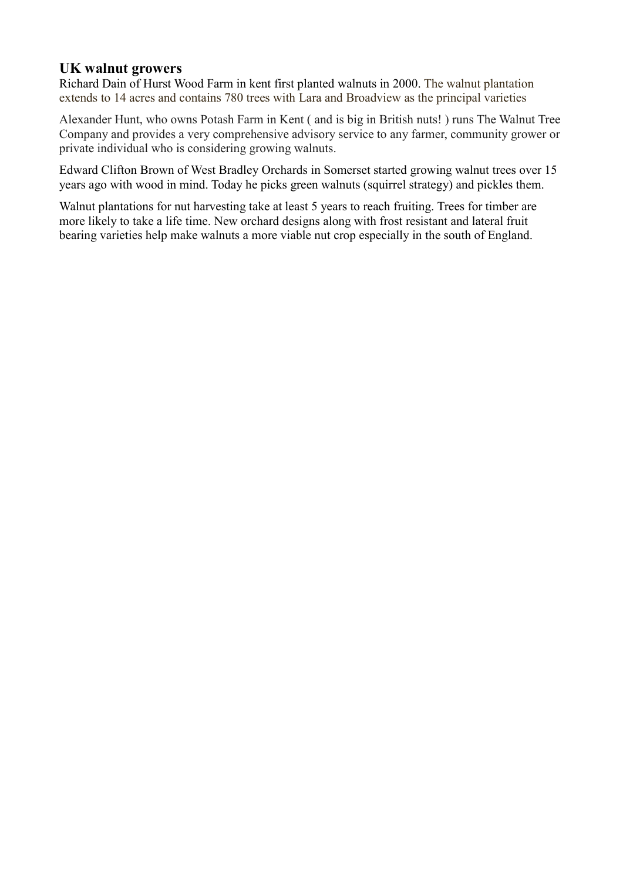## UK walnut growers

Richard Dain of Hurst Wood Farm in kent first planted walnuts in 2000. The walnut plantation extends to 14 acres and contains 780 trees with Lara and Broadview as the principal varieties

Alexander Hunt, who owns Potash Farm in Kent ( and is big in British nuts! ) runs The Walnut Tree Company and provides a very comprehensive advisory service to any farmer, community grower or private individual who is considering growing walnuts.

Edward Clifton Brown of West Bradley Orchards in Somerset started growing walnut trees over 15 years ago with wood in mind. Today he picks green walnuts (squirrel strategy) and pickles them.

Walnut plantations for nut harvesting take at least 5 years to reach fruiting. Trees for timber are more likely to take a life time. New orchard designs along with frost resistant and lateral fruit bearing varieties help make walnuts a more viable nut crop especially in the south of England.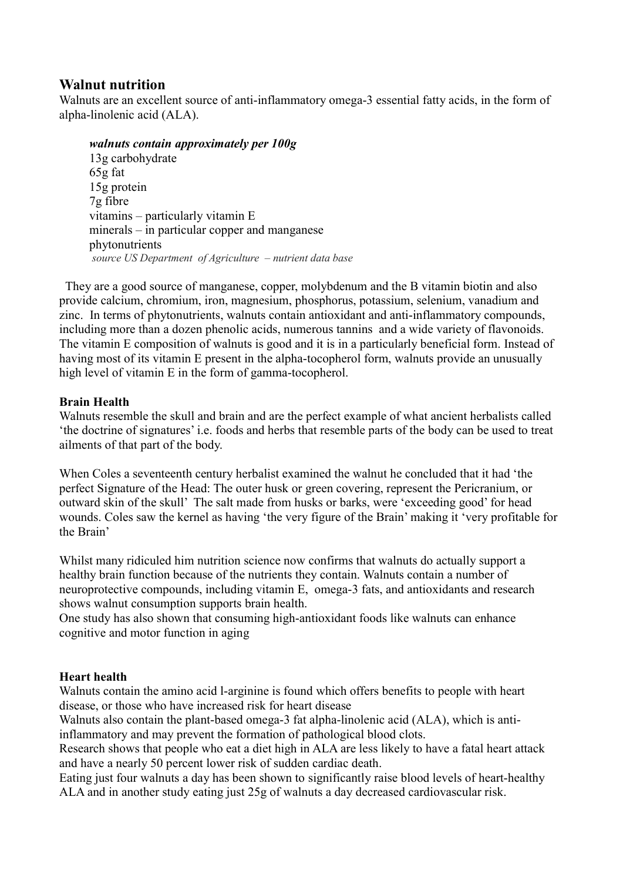## Walnut nutrition

Walnuts are an excellent source of anti-inflammatory omega-3 essential fatty acids, in the form of alpha-linolenic acid (ALA).

#### walnuts contain approximately per 100g

13g carbohydrate 65g fat 15g protein 7g fibre vitamins – particularly vitamin E minerals – in particular copper and manganese phytonutrients source US Department of Agriculture – nutrient data base

 They are a good source of manganese, copper, molybdenum and the B vitamin biotin and also provide calcium, chromium, iron, magnesium, phosphorus, potassium, selenium, vanadium and zinc. In terms of phytonutrients, walnuts contain antioxidant and anti-inflammatory compounds, including more than a dozen phenolic acids, numerous tannins and a wide variety of flavonoids. The vitamin E composition of walnuts is good and it is in a particularly beneficial form. Instead of having most of its vitamin E present in the alpha-tocopherol form, walnuts provide an unusually high level of vitamin E in the form of gamma-tocopherol.

### Brain Health

Walnuts resemble the skull and brain and are the perfect example of what ancient herbalists called 'the doctrine of signatures' i.e. foods and herbs that resemble parts of the body can be used to treat ailments of that part of the body.

When Coles a seventeenth century herbalist examined the walnut he concluded that it had 'the perfect Signature of the Head: The outer husk or green covering, represent the Pericranium, or outward skin of the skull' The salt made from husks or barks, were 'exceeding good' for head wounds. Coles saw the kernel as having 'the very figure of the Brain' making it 'very profitable for the Brain'

Whilst many ridiculed him nutrition science now confirms that walnuts do actually support a healthy brain function because of the nutrients they contain. Walnuts contain a number of neuroprotective compounds, including vitamin E, omega-3 fats, and antioxidants and research shows walnut consumption supports brain health.

One study has also shown that consuming high-antioxidant foods like walnuts can enhance cognitive and motor function in aging

### Heart health

Walnuts contain the amino acid l-arginine is found which offers benefits to people with heart disease, or those who have increased risk for heart disease

Walnuts also contain the plant-based omega-3 fat alpha-linolenic acid (ALA), which is antiinflammatory and may prevent the formation of pathological blood clots.

Research shows that people who eat a diet high in ALA are less likely to have a fatal heart attack and have a nearly 50 percent lower risk of sudden cardiac death.

Eating just four walnuts a day has been shown to significantly raise blood levels of heart-healthy ALA and in another study eating just 25g of walnuts a day decreased cardiovascular risk.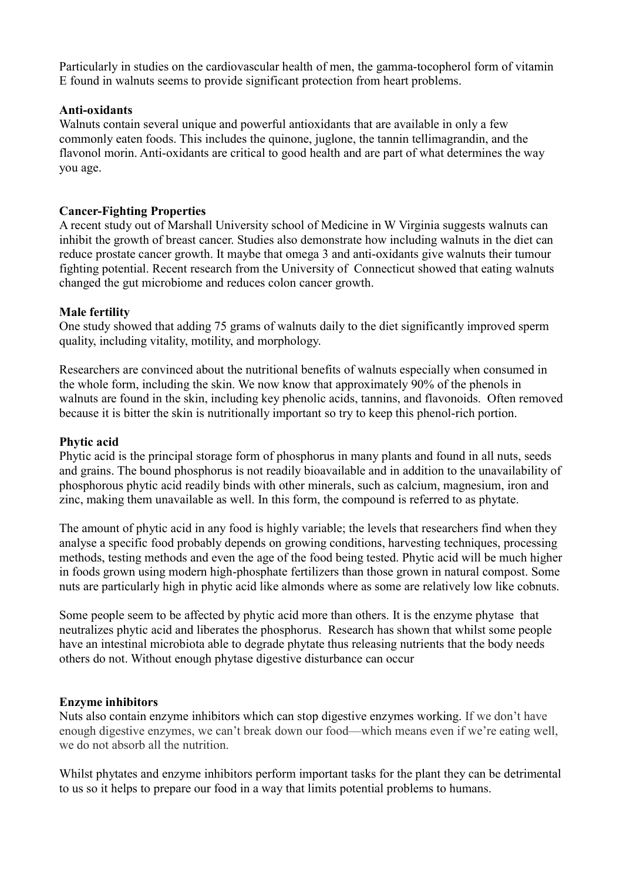Particularly in studies on the cardiovascular health of men, the gamma-tocopherol form of vitamin E found in walnuts seems to provide significant protection from heart problems.

#### Anti-oxidants

Walnuts contain several unique and powerful antioxidants that are available in only a few commonly eaten foods. This includes the quinone, juglone, the tannin tellimagrandin, and the flavonol morin. Anti-oxidants are critical to good health and are part of what determines the way you age.

#### Cancer-Fighting Properties

A recent study out of Marshall University school of Medicine in W Virginia suggests walnuts can inhibit the growth of breast cancer. Studies also demonstrate how including walnuts in the diet can reduce prostate cancer growth. It maybe that omega 3 and anti-oxidants give walnuts their tumour fighting potential. Recent research from the University of Connecticut showed that eating walnuts changed the gut microbiome and reduces colon cancer growth.

#### Male fertility

One study showed that adding 75 grams of walnuts daily to the diet significantly improved sperm quality, including vitality, motility, and morphology.

Researchers are convinced about the nutritional benefits of walnuts especially when consumed in the whole form, including the skin. We now know that approximately 90% of the phenols in walnuts are found in the skin, including key phenolic acids, tannins, and flavonoids. Often removed because it is bitter the skin is nutritionally important so try to keep this phenol-rich portion.

#### Phytic acid

Phytic acid is the principal storage form of phosphorus in many plants and found in all nuts, seeds and grains. The bound phosphorus is not readily bioavailable and in addition to the unavailability of phosphorous phytic acid readily binds with other minerals, such as calcium, magnesium, iron and zinc, making them unavailable as well. In this form, the compound is referred to as phytate.

The amount of phytic acid in any food is highly variable; the levels that researchers find when they analyse a specific food probably depends on growing conditions, harvesting techniques, processing methods, testing methods and even the age of the food being tested. Phytic acid will be much higher in foods grown using modern high-phosphate fertilizers than those grown in natural compost. Some nuts are particularly high in phytic acid like almonds where as some are relatively low like cobnuts.

Some people seem to be affected by phytic acid more than others. It is the enzyme phytase that neutralizes phytic acid and liberates the phosphorus. Research has shown that whilst some people have an intestinal microbiota able to degrade phytate thus releasing nutrients that the body needs others do not. Without enough phytase digestive disturbance can occur

#### Enzyme inhibitors

Nuts also contain enzyme inhibitors which can stop digestive enzymes working. If we don't have enough digestive enzymes, we can't break down our food—which means even if we're eating well, we do not absorb all the nutrition.

Whilst phytates and enzyme inhibitors perform important tasks for the plant they can be detrimental to us so it helps to prepare our food in a way that limits potential problems to humans.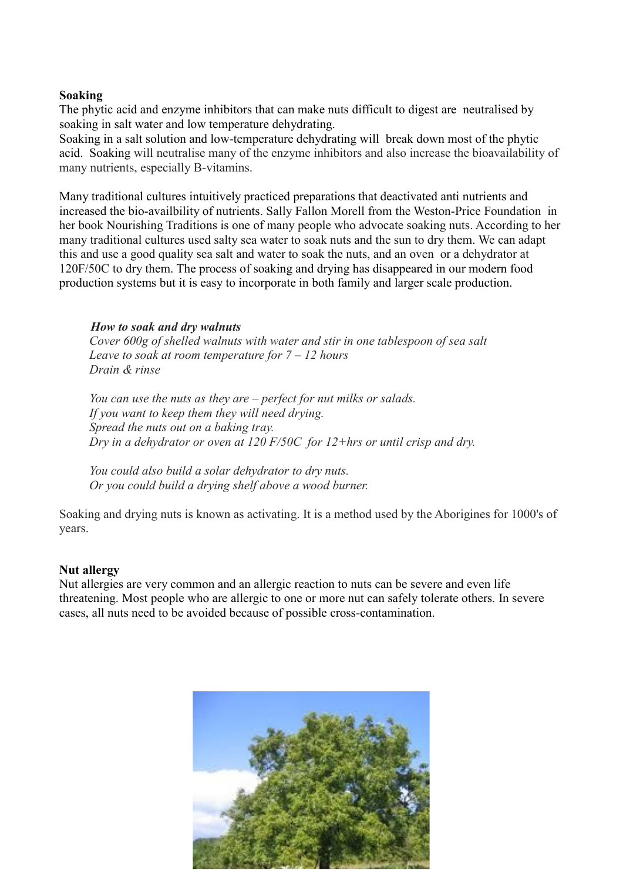#### Soaking

The phytic acid and enzyme inhibitors that can make nuts difficult to digest are neutralised by soaking in salt water and low temperature dehydrating.

Soaking in a salt solution and low-temperature dehydrating will break down most of the phytic acid. Soaking will neutralise many of the enzyme inhibitors and also increase the bioavailability of many nutrients, especially B-vitamins.

Many traditional cultures intuitively practiced preparations that deactivated anti nutrients and increased the bio-availbility of nutrients. Sally Fallon Morell from the Weston-Price Foundation in her book Nourishing Traditions is one of many people who advocate soaking nuts. According to her many traditional cultures used salty sea water to soak nuts and the sun to dry them. We can adapt this and use a good quality sea salt and water to soak the nuts, and an oven or a dehydrator at 120F/50C to dry them. The process of soaking and drying has disappeared in our modern food production systems but it is easy to incorporate in both family and larger scale production.

#### How to soak and dry walnuts

Cover 600g of shelled walnuts with water and stir in one tablespoon of sea salt Leave to soak at room temperature for  $7 - 12$  hours Drain & rinse

You can use the nuts as they are – perfect for nut milks or salads. If you want to keep them they will need drying. Spread the nuts out on a baking tray. Dry in a dehydrator or oven at 120  $F/50C$  for 12+hrs or until crisp and dry.

You could also build a solar dehydrator to dry nuts. Or you could build a drying shelf above a wood burner.

Soaking and drying nuts is known as activating. It is a method used by the Aborigines for 1000's of years.

#### Nut allergy

Nut allergies are very common and an allergic reaction to nuts can be severe and even life threatening. Most people who are allergic to one or more nut can safely tolerate others. In severe cases, all nuts need to be avoided because of possible cross-contamination.

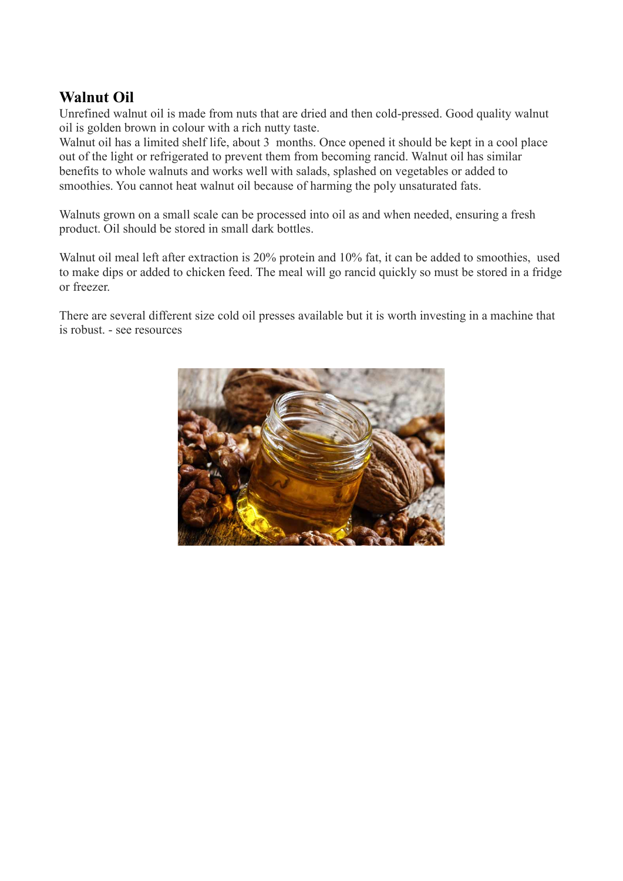# Walnut Oil

Unrefined walnut oil is made from nuts that are dried and then cold-pressed. Good quality walnut oil is golden brown in colour with a rich nutty taste.

Walnut oil has a limited shelf life, about 3 months. Once opened it should be kept in a cool place out of the light or refrigerated to prevent them from becoming rancid. Walnut oil has similar benefits to whole walnuts and works well with salads, splashed on vegetables or added to smoothies. You cannot heat walnut oil because of harming the poly unsaturated fats.

Walnuts grown on a small scale can be processed into oil as and when needed, ensuring a fresh product. Oil should be stored in small dark bottles.

Walnut oil meal left after extraction is 20% protein and 10% fat, it can be added to smoothies, used to make dips or added to chicken feed. The meal will go rancid quickly so must be stored in a fridge or freezer.

There are several different size cold oil presses available but it is worth investing in a machine that is robust. - see resources

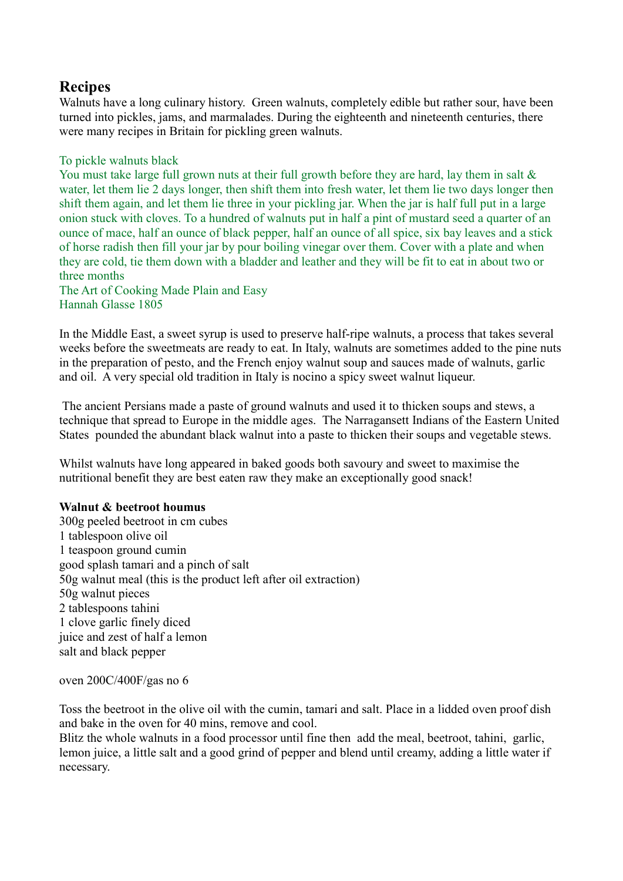# **Recipes**

Walnuts have a long culinary history. Green walnuts, completely edible but rather sour, have been turned into pickles, jams, and marmalades. During the eighteenth and nineteenth centuries, there were many recipes in Britain for pickling green walnuts.

#### To pickle walnuts black

You must take large full grown nuts at their full growth before they are hard, lay them in salt & water, let them lie 2 days longer, then shift them into fresh water, let them lie two days longer then shift them again, and let them lie three in your pickling jar. When the jar is half full put in a large onion stuck with cloves. To a hundred of walnuts put in half a pint of mustard seed a quarter of an ounce of mace, half an ounce of black pepper, half an ounce of all spice, six bay leaves and a stick of horse radish then fill your jar by pour boiling vinegar over them. Cover with a plate and when they are cold, tie them down with a bladder and leather and they will be fit to eat in about two or three months

The Art of Cooking Made Plain and Easy Hannah Glasse 1805

In the Middle East, a sweet syrup is used to preserve half-ripe walnuts, a process that takes several weeks before the sweetmeats are ready to eat. In Italy, walnuts are sometimes added to the pine nuts in the preparation of pesto, and the French enjoy walnut soup and sauces made of walnuts, garlic and oil. A very special old tradition in Italy is nocino a spicy sweet walnut liqueur.

 The ancient Persians made a paste of ground walnuts and used it to thicken soups and stews, a technique that spread to Europe in the middle ages. The Narragansett Indians of the Eastern United States pounded the abundant black walnut into a paste to thicken their soups and vegetable stews.

Whilst walnuts have long appeared in baked goods both savoury and sweet to maximise the nutritional benefit they are best eaten raw they make an exceptionally good snack!

#### Walnut & beetroot houmus

300g peeled beetroot in cm cubes 1 tablespoon olive oil 1 teaspoon ground cumin good splash tamari and a pinch of salt 50g walnut meal (this is the product left after oil extraction) 50g walnut pieces 2 tablespoons tahini 1 clove garlic finely diced juice and zest of half a lemon salt and black pepper

oven 200C/400F/gas no 6

Toss the beetroot in the olive oil with the cumin, tamari and salt. Place in a lidded oven proof dish and bake in the oven for 40 mins, remove and cool.

Blitz the whole walnuts in a food processor until fine then add the meal, beetroot, tahini, garlic, lemon juice, a little salt and a good grind of pepper and blend until creamy, adding a little water if necessary.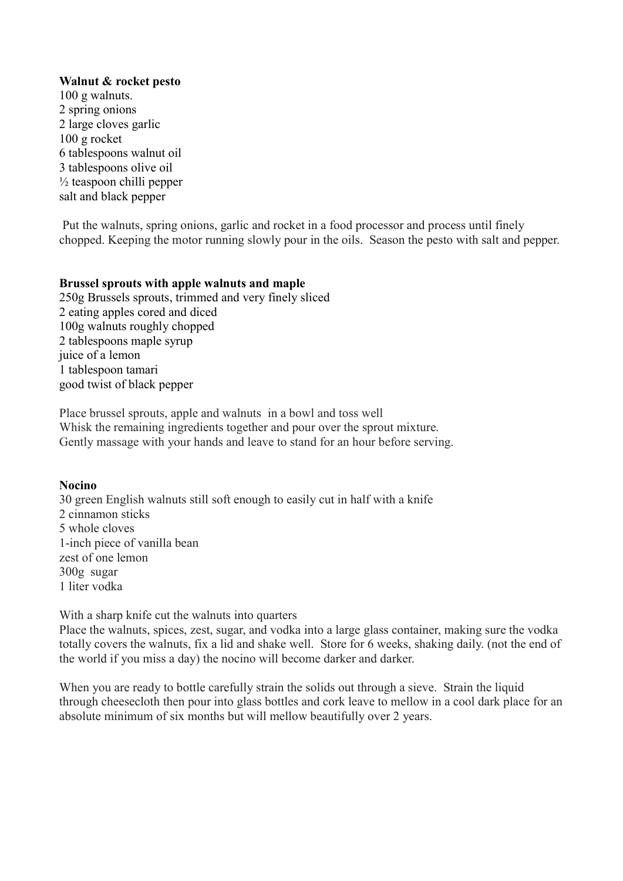#### Walnut & rocket pesto

100 g walnuts. 2 spring onions 2 large cloves garlic 100 g rocket 6 tablespoons walnut oil 3 tablespoons olive oil  $\frac{1}{2}$  teaspoon chilli pepper salt and black pepper

 Put the walnuts, spring onions, garlic and rocket in a food processor and process until finely chopped. Keeping the motor running slowly pour in the oils. Season the pesto with salt and pepper.

#### Brussel sprouts with apple walnuts and maple

250g Brussels sprouts, trimmed and very finely sliced 2 eating apples cored and diced 100g walnuts roughly chopped 2 tablespoons maple syrup juice of a lemon 1 tablespoon tamari good twist of black pepper

Place brussel sprouts, apple and walnuts in a bowl and toss well Whisk the remaining ingredients together and pour over the sprout mixture. Gently massage with your hands and leave to stand for an hour before serving.

#### Nocino

30 green English walnuts still soft enough to easily cut in half with a knife 2 cinnamon sticks 5 whole cloves 1-inch piece of vanilla bean zest of one lemon 300g sugar 1 liter vodka

With a sharp knife cut the walnuts into quarters

Place the walnuts, spices, zest, sugar, and vodka into a large glass container, making sure the vodka totally covers the walnuts, fix a lid and shake well. Store for 6 weeks, shaking daily. (not the end of the world if you miss a day) the nocino will become darker and darker.

When you are ready to bottle carefully strain the solids out through a sieve. Strain the liquid through cheesecloth then pour into glass bottles and cork leave to mellow in a cool dark place for an absolute minimum of six months but will mellow beautifully over 2 years.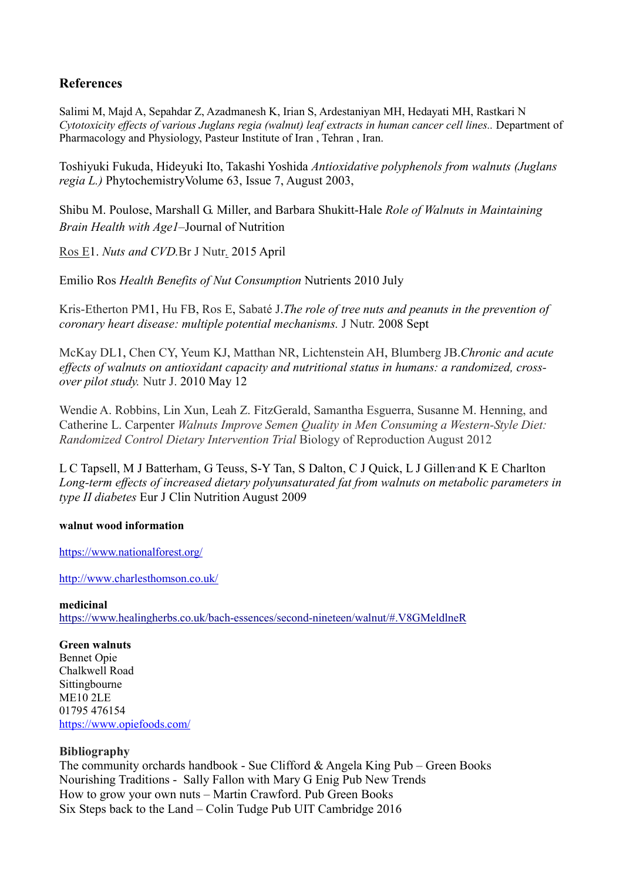## References

Salimi M, Majd A, Sepahdar Z, Azadmanesh K, Irian S, Ardestaniyan MH, Hedayati MH, Rastkari N Cytotoxicity effects of various Juglans regia (walnut) leaf extracts in human cancer cell lines.. Department of Pharmacology and Physiology, Pasteur Institute of Iran , Tehran , Iran.

Toshiyuki Fukuda, Hideyuki Ito, Takashi Yoshida Antioxidative polyphenols from walnuts (Juglans regia L.) PhytochemistryVolume 63, Issue 7, August 2003,

Shibu M. Poulose, Marshall G. Miller, and Barbara Shukitt-Hale Role of Walnuts in Maintaining Brain Health with Age1–Journal of Nutrition

Ros E1. Nuts and CVD.Br J Nutr. 2015 April

Emilio Ros Health Benefits of Nut Consumption Nutrients 2010 July

Kris-Etherton PM1, Hu FB, Ros E, Sabaté J.The role of tree nuts and peanuts in the prevention of coronary heart disease: multiple potential mechanisms. J Nutr. 2008 Sept

McKay DL1, Chen CY, Yeum KJ, Matthan NR, Lichtenstein AH, Blumberg JB.Chronic and acute effects of walnuts on antioxidant capacity and nutritional status in humans: a randomized, crossover pilot study. Nutr J. 2010 May 12

Wendie A. Robbins, Lin Xun, Leah Z. FitzGerald, Samantha Esguerra, Susanne M. Henning, and Catherine L. Carpenter Walnuts Improve Semen Quality in Men Consuming a Western-Style Diet: Randomized Control Dietary Intervention Trial Biology of Reproduction August 2012

L C Tapsell, M J Batterham, G Teuss, S-Y Tan, S Dalton, C J Quick, L J Gillen and K E Charlton Long-term effects of increased dietary polyunsaturated fat from walnuts on metabolic parameters in type II diabetes Eur J Clin Nutrition August 2009

#### walnut wood information

https://www.nationalforest.org/

http://www.charlesthomson.co.uk/

#### medicinal

https://www.healingherbs.co.uk/bach-essences/second-nineteen/walnut/#.V8GMeldlneR

Green walnuts Bennet Opie Chalkwell Road Sittingbourne ME10 2LE 01795 476154 https://www.opiefoods.com/

### Bibliography

The community orchards handbook - Sue Clifford & Angela King Pub – Green Books Nourishing Traditions - Sally Fallon with Mary G Enig Pub New Trends How to grow your own nuts – Martin Crawford. Pub Green Books Six Steps back to the Land – Colin Tudge Pub UIT Cambridge 2016